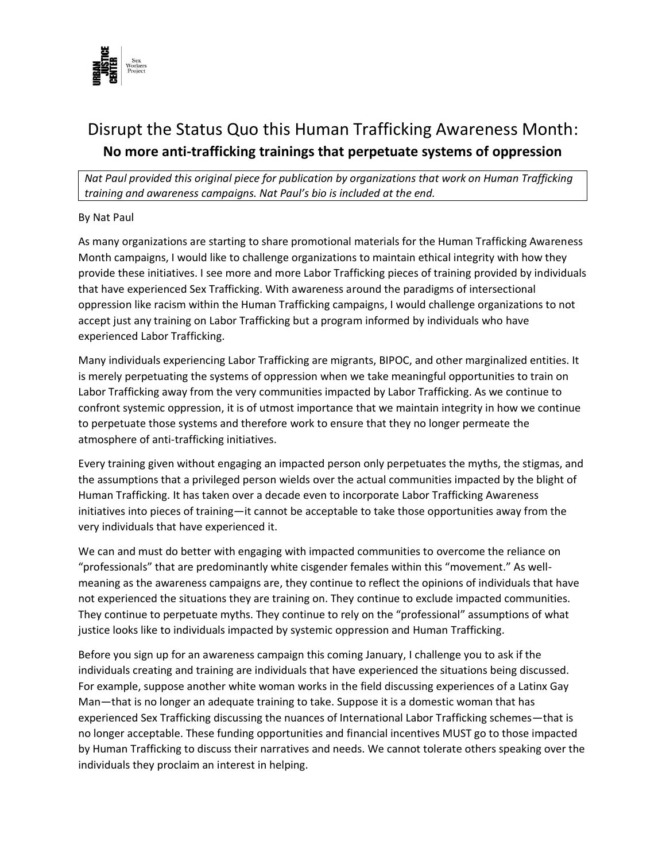

## Disrupt the Status Quo this Human Trafficking Awareness Month: **No more anti-trafficking trainings that perpetuate systems of oppression**

*Nat Paul provided this original piece for publication by organizations that work on Human Trafficking training and awareness campaigns. Nat Paul's bio is included at the end.* 

## By Nat Paul

As many organizations are starting to share promotional materials for the Human Trafficking Awareness Month campaigns, I would like to challenge organizations to maintain ethical integrity with how they provide these initiatives. I see more and more Labor Trafficking pieces of training provided by individuals that have experienced Sex Trafficking. With awareness around the paradigms of intersectional oppression like racism within the Human Trafficking campaigns, I would challenge organizations to not accept just any training on Labor Trafficking but a program informed by individuals who have experienced Labor Trafficking.

Many individuals experiencing Labor Trafficking are migrants, BIPOC, and other marginalized entities. It is merely perpetuating the systems of oppression when we take meaningful opportunities to train on Labor Trafficking away from the very communities impacted by Labor Trafficking. As we continue to confront systemic oppression, it is of utmost importance that we maintain integrity in how we continue to perpetuate those systems and therefore work to ensure that they no longer permeate the atmosphere of anti-trafficking initiatives.

Every training given without engaging an impacted person only perpetuates the myths, the stigmas, and the assumptions that a privileged person wields over the actual communities impacted by the blight of Human Trafficking. It has taken over a decade even to incorporate Labor Trafficking Awareness initiatives into pieces of training—it cannot be acceptable to take those opportunities away from the very individuals that have experienced it.

We can and must do better with engaging with impacted communities to overcome the reliance on "professionals" that are predominantly white cisgender females within this "movement." As wellmeaning as the awareness campaigns are, they continue to reflect the opinions of individuals that have not experienced the situations they are training on. They continue to exclude impacted communities. They continue to perpetuate myths. They continue to rely on the "professional" assumptions of what justice looks like to individuals impacted by systemic oppression and Human Trafficking.

Before you sign up for an awareness campaign this coming January, I challenge you to ask if the individuals creating and training are individuals that have experienced the situations being discussed. For example, suppose another white woman works in the field discussing experiences of a Latinx Gay Man—that is no longer an adequate training to take. Suppose it is a domestic woman that has experienced Sex Trafficking discussing the nuances of International Labor Trafficking schemes—that is no longer acceptable. These funding opportunities and financial incentives MUST go to those impacted by Human Trafficking to discuss their narratives and needs. We cannot tolerate others speaking over the individuals they proclaim an interest in helping.